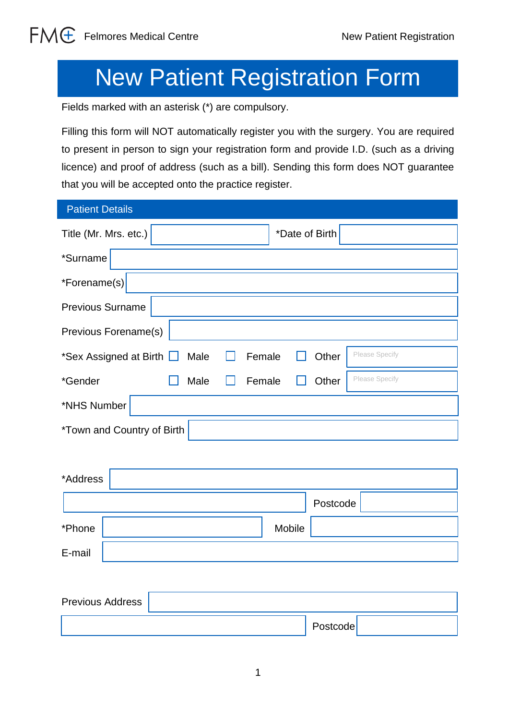# New Patient Registration Form

Fields marked with an asterisk (\*) are compulsory.

Filling this form will NOT automatically register you with the surgery. You are required to present in person to sign your registration form and provide I.D. (such as a driving licence) and proof of address (such as a bill). Sending this form does NOT guarantee that you will be accepted onto the practice register.

| <b>Patient Details</b>            |      |                 |                |  |  |
|-----------------------------------|------|-----------------|----------------|--|--|
| Title (Mr. Mrs. etc.)             |      | *Date of Birth  |                |  |  |
| *Surname                          |      |                 |                |  |  |
| *Forename(s)                      |      |                 |                |  |  |
| <b>Previous Surname</b>           |      |                 |                |  |  |
| Previous Forename(s)              |      |                 |                |  |  |
| *Sex Assigned at Birth $\Box$     | Male | Female<br>Other | Please Specify |  |  |
| *Gender                           | Male | Female<br>Other | Please Specify |  |  |
| *NHS Number                       |      |                 |                |  |  |
| <i>*Town and Country of Birth</i> |      |                 |                |  |  |

| *Address |          |  |
|----------|----------|--|
|          | Postcode |  |
| *Phone   | Mobile   |  |
| E-mail   |          |  |

| <b>Previous Address</b> |          |
|-------------------------|----------|
|                         | Postcode |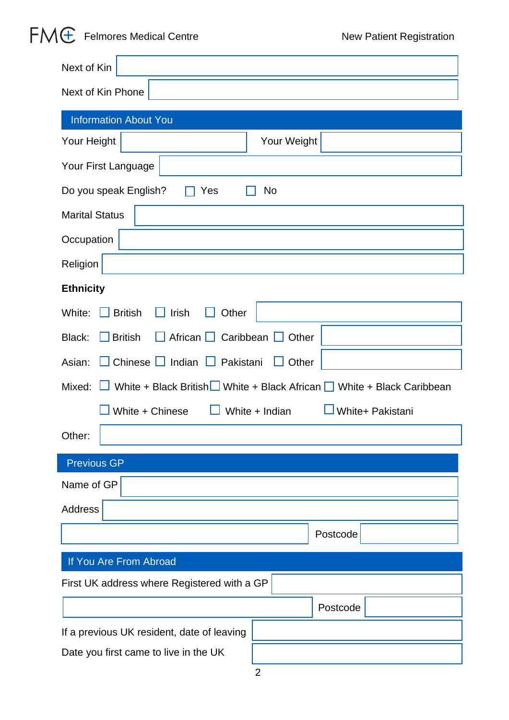## $FMG$  Felmores Medical Centre  $N_{B}$  New Patient Registration

| Next of Kin                                                     |                                                                            |  |  |  |
|-----------------------------------------------------------------|----------------------------------------------------------------------------|--|--|--|
| Next of Kin Phone                                               |                                                                            |  |  |  |
| <b>Information About You</b>                                    |                                                                            |  |  |  |
| Your Height                                                     | Your Weight                                                                |  |  |  |
| Your First Language                                             |                                                                            |  |  |  |
| Do you speak English?<br>Yes                                    | No                                                                         |  |  |  |
| <b>Marital Status</b>                                           |                                                                            |  |  |  |
| Occupation                                                      |                                                                            |  |  |  |
| Religion                                                        |                                                                            |  |  |  |
| <b>Ethnicity</b>                                                |                                                                            |  |  |  |
| Irish<br>White:<br><b>British</b><br>Other<br>Ħ<br>$\mathbf{I}$ |                                                                            |  |  |  |
| African <u>□</u> Caribbean □ Other<br>$\Box$ British<br>Black:  |                                                                            |  |  |  |
| Chinese   Indian   Pakistani<br>Asian:                          | $\Box$ Other                                                               |  |  |  |
|                                                                 | Mixed: White + Black British White + Black African White + Black Caribbean |  |  |  |
| White + Chinese                                                 | White + Indian<br>White+ Pakistani                                         |  |  |  |
| Other:                                                          |                                                                            |  |  |  |
| <b>Previous GP</b>                                              |                                                                            |  |  |  |
| Name of GP                                                      |                                                                            |  |  |  |
| <b>Address</b>                                                  |                                                                            |  |  |  |
|                                                                 | Postcode                                                                   |  |  |  |
| If You Are From Abroad                                          |                                                                            |  |  |  |
| First UK address where Registered with a GP                     |                                                                            |  |  |  |
|                                                                 | Postcode                                                                   |  |  |  |
| If a previous UK resident, date of leaving                      |                                                                            |  |  |  |
| Date you first came to live in the UK                           |                                                                            |  |  |  |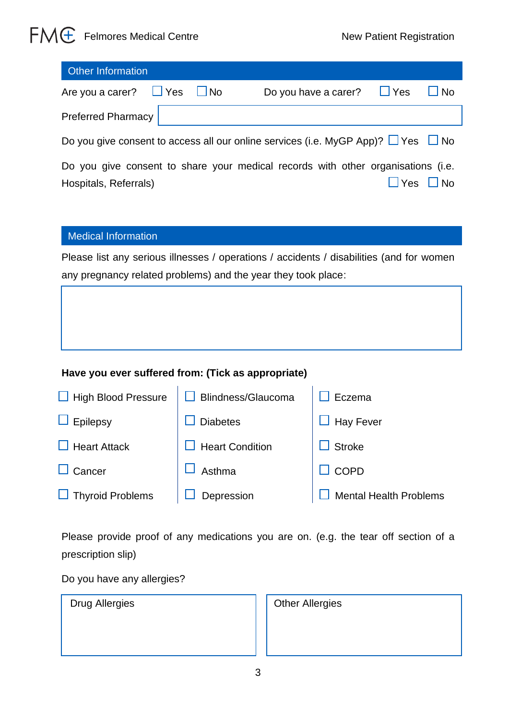### $FMG$  Felmores Medical Centre  $N_{en}$  New Patient Registration

| <b>Other Information</b>                                                                                                                                |  |                                 |              |  |  |
|---------------------------------------------------------------------------------------------------------------------------------------------------------|--|---------------------------------|--------------|--|--|
| Are you a carer? $\Box$ Yes $\Box$ No                                                                                                                   |  | Do you have a carer? $\Box$ Yes | $\square$ No |  |  |
| <b>Preferred Pharmacy</b>                                                                                                                               |  |                                 |              |  |  |
| Do you give consent to access all our online services (i.e. MyGP App)? $\Box$ Yes $\Box$ No                                                             |  |                                 |              |  |  |
| Do you give consent to share your medical records with other organisations (i.e.<br>$\overline{\mathsf{No}}$<br>$\mathsf{Yes}$<br>Hospitals, Referrals) |  |                                 |              |  |  |

#### Medical Information

Please list any serious illnesses / operations / accidents / disabilities (and for women any pregnancy related problems) and the year they took place:

#### **Have you ever suffered from: (Tick as appropriate)**

| $\Box$ High Blood Pressure | <b>Blindness/Glaucoma</b> | Eczema                        |
|----------------------------|---------------------------|-------------------------------|
| $\Box$ Epilepsy            | <b>Diabetes</b>           | <b>Hay Fever</b>              |
| $\Box$ Heart Attack        | <b>Heart Condition</b>    | <b>Stroke</b>                 |
| $\Box$ Cancer              | Asthma                    | <b>COPD</b>                   |
| $\Box$ Thyroid Problems    | Depression                | <b>Mental Health Problems</b> |

Please provide proof of any medications you are on. (e.g. the tear off section of a prescription slip)

Do you have any allergies?

| <b>Other Allergies</b> |
|------------------------|
|                        |
|                        |
|                        |
|                        |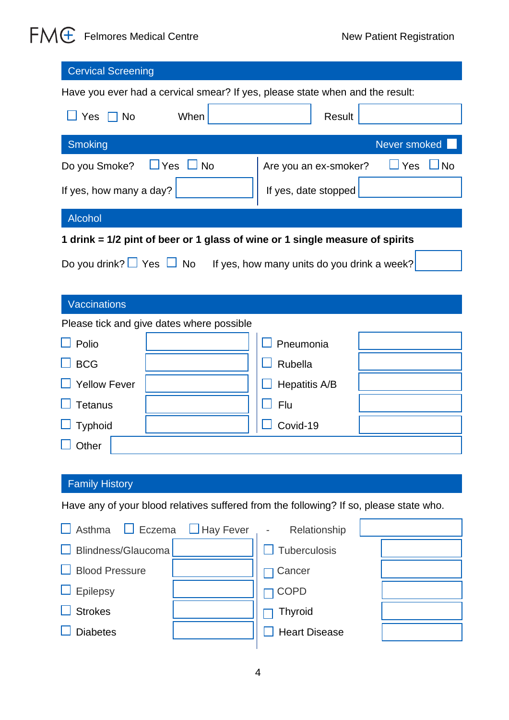## $FMG$  Felmores Medical Centre  $N_{B}$  New Patient Registration

| <b>Cervical Screening</b>                                                              |                                              |  |  |  |
|----------------------------------------------------------------------------------------|----------------------------------------------|--|--|--|
| Have you ever had a cervical smear? If yes, please state when and the result:          |                                              |  |  |  |
| $\Box$ Yes<br>$\Box$ No<br>When                                                        | Result                                       |  |  |  |
| <b>Smoking</b>                                                                         | Never smoked                                 |  |  |  |
| Yes<br>$\Box$ No<br>Do you Smoke?                                                      | $\sqcup$ Yes<br>⊿No<br>Are you an ex-smoker? |  |  |  |
| If yes, how many a day?                                                                | If yes, date stopped                         |  |  |  |
| Alcohol                                                                                |                                              |  |  |  |
| 1 drink = 1/2 pint of beer or 1 glass of wine or 1 single measure of spirits           |                                              |  |  |  |
| Do you drink? $\Box$ Yes $\Box$ No If yes, how many units do you drink a week?         |                                              |  |  |  |
|                                                                                        |                                              |  |  |  |
| <b>Vaccinations</b>                                                                    |                                              |  |  |  |
| Please tick and give dates where possible                                              |                                              |  |  |  |
| Polio                                                                                  | Pneumonia                                    |  |  |  |
| <b>BCG</b>                                                                             | Rubella                                      |  |  |  |
| <b>Yellow Fever</b>                                                                    | Hepatitis A/B                                |  |  |  |
| <b>Tetanus</b>                                                                         | Flu                                          |  |  |  |
| <b>Typhoid</b>                                                                         | Covid-19                                     |  |  |  |
| $\overline{\phantom{0}}$<br>Other                                                      |                                              |  |  |  |
|                                                                                        |                                              |  |  |  |
| <b>Family History</b>                                                                  |                                              |  |  |  |
| Have any of your blood relatives suffered from the following? If so, please state who. |                                              |  |  |  |
| Asthma<br>Eczema<br>Hay Fever                                                          | Relationship                                 |  |  |  |
| Blindness/Glaucoma                                                                     | Tuberculosis                                 |  |  |  |
| <b>Blood Pressure</b>                                                                  | Cancer                                       |  |  |  |
| <b>Epilepsy</b>                                                                        | <b>COPD</b>                                  |  |  |  |
| <b>Strokes</b>                                                                         | <b>Thyroid</b>                               |  |  |  |
| <b>Diabetes</b>                                                                        | <b>Heart Disease</b>                         |  |  |  |